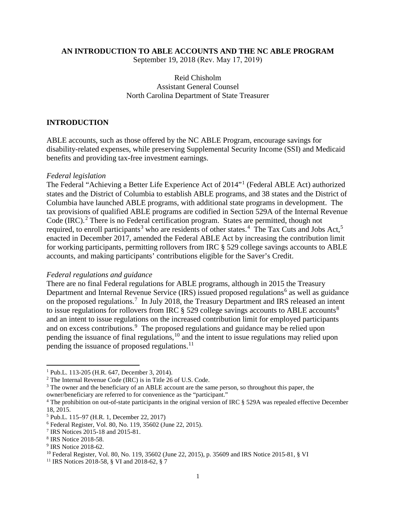#### **AN INTRODUCTION TO ABLE ACCOUNTS AND THE NC ABLE PROGRAM**

September 19, 2018 (Rev. May 17, 2019)

## Reid Chisholm Assistant General Counsel North Carolina Department of State Treasurer

#### **INTRODUCTION**

ABLE accounts, such as those offered by the NC ABLE Program, encourage savings for disability-related expenses, while preserving Supplemental Security Income (SSI) and Medicaid benefits and providing tax-free investment earnings.

#### *Federal legislation*

The Federal "Achieving a Better Life Experience Act of 2014"[1](#page-0-0) (Federal ABLE Act) authorized states and the District of Columbia to establish ABLE programs, and 38 states and the District of Columbia have launched ABLE programs, with additional state programs in development. The tax provisions of qualified ABLE programs are codified in Section 529A of the Internal Revenue Code (IRC). [2](#page-0-1) There is no Federal certification program. States are permitted, though not required, to enroll participants<sup>[3](#page-0-2)</sup> who are residents of other states.<sup>[4](#page-0-3)</sup> The Tax Cuts and Jobs Act,<sup>[5](#page-0-4)</sup> enacted in December 2017, amended the Federal ABLE Act by increasing the contribution limit for working participants, permitting rollovers from IRC § 529 college savings accounts to ABLE accounts, and making participants' contributions eligible for the Saver's Credit.

#### *Federal regulations and guidance*

There are no final Federal regulations for ABLE programs, although in 2015 the Treasury Department and Internal Revenue Service (IRS) issued proposed regulations<sup>[6](#page-0-5)</sup> as well as guidance on the proposed regulations.<sup>[7](#page-0-6)</sup> In July 2018, the Treasury Department and IRS released an intent to issue regulations for rollovers from IRC  $\S$  529 college savings accounts to ABLE accounts<sup>[8](#page-0-7)</sup> and an intent to issue regulations on the increased contribution limit for employed participants and on excess contributions.<sup>[9](#page-0-8)</sup> The proposed regulations and guidance may be relied upon pending the issuance of final regulations, $10$  and the intent to issue regulations may relied upon pending the issuance of proposed regulations.<sup>[11](#page-0-10)</sup>

<span id="page-0-0"></span><sup>1</sup> Pub.L. 113-205 (H.R. 647, December 3, 2014).

<span id="page-0-1"></span><sup>2</sup> The Internal Revenue Code (IRC) is in Title 26 of U.S. Code.

<span id="page-0-2"></span><sup>&</sup>lt;sup>3</sup> The owner and the beneficiary of an ABLE account are the same person, so throughout this paper, the

owner/beneficiary are referred to for convenience as the "participant."

<span id="page-0-3"></span><sup>&</sup>lt;sup>4</sup> The prohibition on out-of-state participants in the original version of IRC § 529A was repealed effective December 18, 2015.

<span id="page-0-4"></span><sup>5</sup> Pub.L. 115–97 (H.R. 1, December 22, 2017)

<span id="page-0-5"></span><sup>6</sup> Federal Register, Vol. 80, No. 119, 35602 (June 22, 2015).

<span id="page-0-6"></span><sup>7</sup> IRS Notices 2015-18 and 2015-81.

<span id="page-0-7"></span><sup>8</sup> IRS Notice 2018-58.

<span id="page-0-8"></span><sup>&</sup>lt;sup>9</sup> IRS Notice 2018-62.

<span id="page-0-9"></span><sup>10</sup> Federal Register, Vol. 80, No. 119, 35602 (June 22, 2015), p. 35609 and IRS Notice 2015-81, § VI

<span id="page-0-10"></span><sup>11</sup> IRS Notices 2018-58, § VI and 2018-62, § 7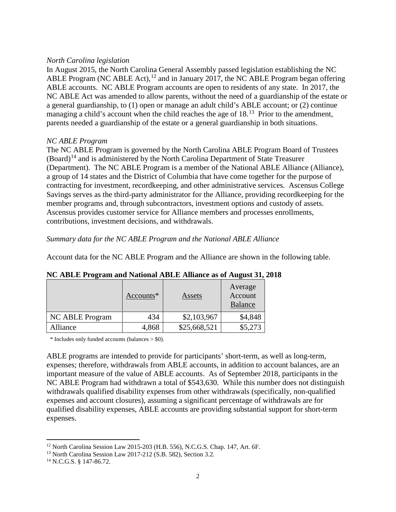#### *North Carolina legislation*

In August 2015, the North Carolina General Assembly passed legislation establishing the NC ABLE Program (NC ABLE Act),  $12$  and in January 2017, the NC ABLE Program began offering ABLE accounts. NC ABLE Program accounts are open to residents of any state. In 2017, the NC ABLE Act was amended to allow parents, without the need of a guardianship of the estate or a general guardianship, to (1) open or manage an adult child's ABLE account; or (2) continue managing a child's account when the child reaches the age of  $18<sup>13</sup>$  $18<sup>13</sup>$  $18<sup>13</sup>$  Prior to the amendment, parents needed a guardianship of the estate or a general guardianship in both situations.

## *NC ABLE Program*

The NC ABLE Program is governed by the North Carolina ABLE Program Board of Trustees  $(Board)<sup>14</sup>$  $(Board)<sup>14</sup>$  $(Board)<sup>14</sup>$  and is administered by the North Carolina Department of State Treasurer (Department). The NC ABLE Program is a member of the National ABLE Alliance (Alliance), a group of 14 states and the District of Columbia that have come together for the purpose of contracting for investment, recordkeeping, and other administrative services. Ascensus College Savings serves as the third-party administrator for the Alliance, providing recordkeeping for the member programs and, through subcontractors, investment options and custody of assets. Ascensus provides customer service for Alliance members and processes enrollments, contributions, investment decisions, and withdrawals.

*Summary data for the NC ABLE Program and the National ABLE Alliance*

Account data for the NC ABLE Program and the Alliance are shown in the following table.

|                 | $Accounts*$ | Assets       | Average<br>Account<br><b>Balance</b> |
|-----------------|-------------|--------------|--------------------------------------|
| NC ABLE Program | 434         | \$2,103,967  | \$4,848                              |
| Alliance        | 4,868       | \$25,668,521 | \$5,273                              |

**NC ABLE Program and National ABLE Alliance as of August 31, 2018**

\* Includes only funded accounts (balances > \$0).

ABLE programs are intended to provide for participants' short-term, as well as long-term, expenses; therefore, withdrawals from ABLE accounts, in addition to account balances, are an important measure of the value of ABLE accounts. As of September 2018, participants in the NC ABLE Program had withdrawn a total of \$543,630. While this number does not distinguish withdrawals qualified disability expenses from other withdrawals (specifically, non-qualified expenses and account closures), assuming a significant percentage of withdrawals are for qualified disability expenses, ABLE accounts are providing substantial support for short-term expenses.

 $\overline{\phantom{a}}$ 

<span id="page-1-0"></span><sup>12</sup> North Carolina Session Law 2015-203 (H.B. 556), N.C.G.S. Chap. 147, Art. 6F.

<span id="page-1-1"></span><sup>13</sup> North Carolina Session Law 2017-212 (S.B. 582), Section 3.2.

<span id="page-1-2"></span><sup>14</sup> N.C.G.S. § 147-86.72.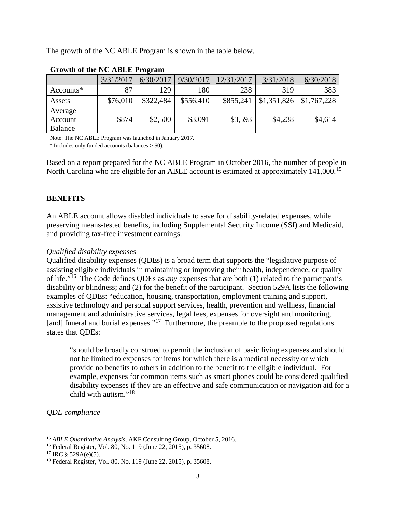The growth of the NC ABLE Program is shown in the table below.

|                               | 3/31/2017 | 6/30/2017 | 9/30/2017 | 12/31/2017 | 3/31/2018   | 6/30/2018   |
|-------------------------------|-----------|-----------|-----------|------------|-------------|-------------|
| $Accounts*$                   | 87        | 129       | 180       | 238        | 319         | 383         |
| Assets                        | \$76,010  | \$322,484 | \$556,410 | \$855,241  | \$1,351,826 | \$1,767,228 |
| Average<br>Account<br>Balance | \$874     | \$2,500   | \$3,091   | \$3,593    | \$4,238     | \$4,614     |

# **Growth of the NC ABLE Program**

Note: The NC ABLE Program was launched in January 2017.

\* Includes only funded accounts (balances > \$0).

Based on a report prepared for the NC ABLE Program in October 2016, the number of people in North Carolina who are eligible for an ABLE account is estimated at approximately 141,000.<sup>[15](#page-2-0)</sup>

# **BENEFITS**

An ABLE account allows disabled individuals to save for disability-related expenses, while preserving means-tested benefits, including Supplemental Security Income (SSI) and Medicaid, and providing tax-free investment earnings.

## *Qualified disability expenses*

Qualified disability expenses (QDEs) is a broad term that supports the "legislative purpose of assisting eligible individuals in maintaining or improving their health, independence, or quality of life."[16](#page-2-1) The Code defines QDEs as *any* expenses that are both (1) related to the participant's disability or blindness; and (2) for the benefit of the participant. Section 529A lists the following examples of QDEs: "education, housing, transportation, employment training and support, assistive technology and personal support services, health, prevention and wellness, financial management and administrative services, legal fees, expenses for oversight and monitoring, [and] funeral and burial expenses."<sup>17</sup> Furthermore, the preamble to the proposed regulations states that QDEs:

"should be broadly construed to permit the inclusion of basic living expenses and should not be limited to expenses for items for which there is a medical necessity or which provide no benefits to others in addition to the benefit to the eligible individual. For example, expenses for common items such as smart phones could be considered qualified disability expenses if they are an effective and safe communication or navigation aid for a child with autism."[18](#page-2-3)

*QDE compliance*

<span id="page-2-0"></span><sup>15</sup> *ABLE Quantitative Analysis*, AKF Consulting Group, October 5, 2016.

<span id="page-2-1"></span><sup>16</sup> Federal Register, Vol. 80, No. 119 (June 22, 2015), p. 35608.

<span id="page-2-2"></span> $17$  IRC § 529A(e)(5).

<span id="page-2-3"></span><sup>18</sup> Federal Register, Vol. 80, No. 119 (June 22, 2015), p. 35608.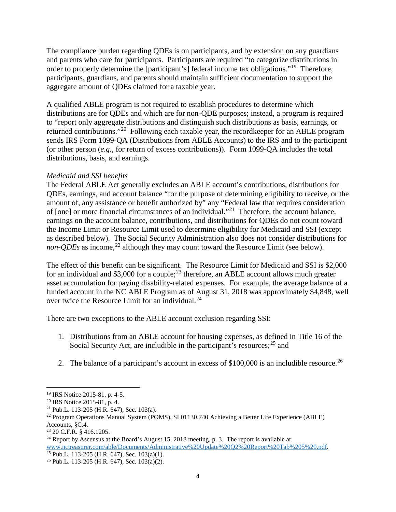The compliance burden regarding QDEs is on participants, and by extension on any guardians and parents who care for participants. Participants are required "to categorize distributions in order to properly determine the [participant's] federal income tax obligations."<sup>19</sup> Therefore, participants, guardians, and parents should maintain sufficient documentation to support the aggregate amount of QDEs claimed for a taxable year.

A qualified ABLE program is not required to establish procedures to determine which distributions are for QDEs and which are for non-QDE purposes; instead, a program is required to "report only aggregate distributions and distinguish such distributions as basis, earnings, or returned contributions."[20](#page-3-1) Following each taxable year, the recordkeeper for an ABLE program sends IRS Form 1099-QA (Distributions from ABLE Accounts) to the IRS and to the participant (or other person (*e.g.*, for return of excess contributions)). Form 1099-QA includes the total distributions, basis, and earnings.

# *Medicaid and SSI benefits*

The Federal ABLE Act generally excludes an ABLE account's contributions, distributions for QDEs, earnings, and account balance "for the purpose of determining eligibility to receive, or the amount of, any assistance or benefit authorized by" any "Federal law that requires consideration of [one] or more financial circumstances of an individual."[21](#page-3-2) Therefore, the account balance, earnings on the account balance, contributions, and distributions for QDEs do not count toward the Income Limit or Resource Limit used to determine eligibility for Medicaid and SSI (except as described below). The Social Security Administration also does not consider distributions for *non-QDEs* as income, [22](#page-3-3) although they may count toward the Resource Limit (see below).

The effect of this benefit can be significant. The Resource Limit for Medicaid and SSI is \$2,000 for an individual and \$3,000 for a couple;<sup>[23](#page-3-4)</sup> therefore, an ABLE account allows much greater asset accumulation for paying disability-related expenses. For example, the average balance of a funded account in the NC ABLE Program as of August 31, 2018 was approximately \$4,848, well over twice the Resource Limit for an individual.<sup>[24](#page-3-5)</sup>

There are two exceptions to the ABLE account exclusion regarding SSI:

- 1. Distributions from an ABLE account for housing expenses, as defined in Title 16 of the Social Security Act, are includible in the participant's resources;<sup>[25](#page-3-6)</sup> and
- 2. The balance of a participant's account in excess of  $$100,000$  is an includible resource.<sup>[26](#page-3-7)</sup>

<span id="page-3-0"></span><sup>&</sup>lt;sup>19</sup> IRS Notice 2015-81, p. 4-5.<br><sup>20</sup> IRS Notice 2015-81, p. 4.

<span id="page-3-2"></span><span id="page-3-1"></span><sup>&</sup>lt;sup>21</sup> Pub.L. 113-205 (H.R. 647), Sec. 103(a).

<span id="page-3-3"></span><sup>22</sup> Program Operations Manual System (POMS), SI 01130.740 Achieving a Better Life Experience (ABLE) Accounts, §C.4.

<span id="page-3-4"></span><sup>23</sup> 20 C.F.R. § 416.1205.

<span id="page-3-5"></span><sup>&</sup>lt;sup>24</sup> Report by Ascensus at the Board's August 15, 2018 meeting, p. 3. The report is available at [www.nctreasurer.com/able/Documents/Administrative%20Update%20Q2%20Report%20Tab%205%20.pdf.](http://www.nctreasurer.com/able/Documents/Administrative%20Update%20Q2%20Report%20Tab%205%20.pdf)

<span id="page-3-6"></span><sup>&</sup>lt;sup>25</sup> Pub.L. 113-205 (H.R. 647), Sec.  $103(a)(1)$ .

<span id="page-3-7"></span><sup>26</sup> Pub.L. 113-205 (H.R. 647), Sec. 103(a)(2).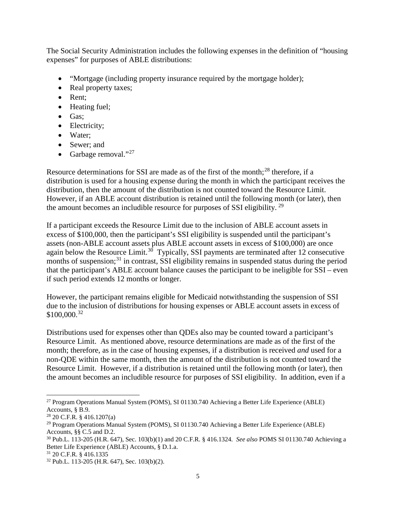The Social Security Administration includes the following expenses in the definition of "housing expenses" for purposes of ABLE distributions:

- "Mortgage (including property insurance required by the mortgage holder);
- Real property taxes;
- Rent:
- Heating fuel;
- Gas;
- Electricity;
- Water:
- Sewer; and
- Garbage removal."<sup>[27](#page-4-0)</sup>

Resource determinations for SSI are made as of the first of the month;<sup>[28](#page-4-1)</sup> therefore, if a distribution is used for a housing expense during the month in which the participant receives the distribution, then the amount of the distribution is not counted toward the Resource Limit. However, if an ABLE account distribution is retained until the following month (or later), then the amount becomes an includible resource for purposes of SSI eligibility.<sup>29</sup>

If a participant exceeds the Resource Limit due to the inclusion of ABLE account assets in excess of \$100,000, then the participant's SSI eligibility is suspended until the participant's assets (non-ABLE account assets plus ABLE account assets in excess of \$100,000) are once again below the Resource Limit.<sup>[30](#page-4-3)</sup> Typically, SSI payments are terminated after 12 consecutive months of suspension;<sup>[31](#page-4-4)</sup> in contrast, SSI eligibility remains in suspended status during the period that the participant's ABLE account balance causes the participant to be ineligible for SSI – even if such period extends 12 months or longer.

However, the participant remains eligible for Medicaid notwithstanding the suspension of SSI due to the inclusion of distributions for housing expenses or ABLE account assets in excess of  $$100,000.<sup>32</sup>$  $$100,000.<sup>32</sup>$  $$100,000.<sup>32</sup>$ 

Distributions used for expenses other than QDEs also may be counted toward a participant's Resource Limit. As mentioned above, resource determinations are made as of the first of the month; therefore, as in the case of housing expenses, if a distribution is received *and* used for a non-QDE within the same month, then the amount of the distribution is not counted toward the Resource Limit. However, if a distribution is retained until the following month (or later), then the amount becomes an includible resource for purposes of SSI eligibility. In addition, even if a

<span id="page-4-0"></span> $\overline{\phantom{a}}$ <sup>27</sup> Program Operations Manual System (POMS), SI 01130.740 Achieving a Better Life Experience (ABLE) Accounts, § B.9.

<span id="page-4-1"></span><sup>28</sup> 20 C.F.R. § 416.1207(a)

<span id="page-4-2"></span><sup>&</sup>lt;sup>29</sup> Program Operations Manual System (POMS), SI 01130.740 Achieving a Better Life Experience (ABLE) Accounts, §§ C.5 and D.2.

<span id="page-4-3"></span><sup>30</sup> Pub.L. 113-205 (H.R. 647), Sec. 103(b)(1) and 20 C.F.R. § 416.1324. *See also* POMS SI 01130.740 Achieving a Better Life Experience (ABLE) Accounts, § D.1.a.

<span id="page-4-4"></span><sup>31</sup> 20 C.F.R. § 416.1335

<span id="page-4-5"></span><sup>32</sup> Pub.L. 113-205 (H.R. 647), Sec. 103(b)(2).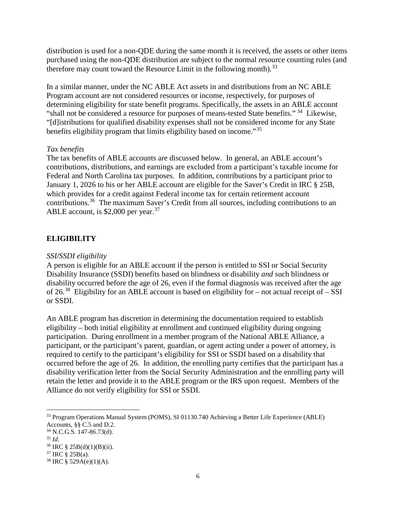distribution is used for a non-QDE during the same month it is received, the assets or other items purchased using the non-QDE distribution are subject to the normal resource counting rules (and therefore may count toward the Resource Limit in the following month).<sup>[33](#page-5-0)</sup>

In a similar manner, under the NC ABLE Act assets in and distributions from an NC ABLE Program account are not considered resources or income, respectively, for purposes of determining eligibility for state benefit programs. Specifically, the assets in an ABLE account "shall not be considered a resource for purposes of means-tested State benefits."<sup>34</sup> Likewise, "[d]istributions for qualified disability expenses shall not be considered income for any State benefits eligibility program that limits eligibility based on income."[35](#page-5-2)

# *Tax benefits*

The tax benefits of ABLE accounts are discussed below. In general, an ABLE account's contributions, distributions, and earnings are excluded from a participant's taxable income for Federal and North Carolina tax purposes. In addition, contributions by a participant prior to January 1, 2026 to his or her ABLE account are eligible for the Saver's Credit in IRC § 25B, which provides for a credit against Federal income tax for certain retirement account contributions.[36](#page-5-3) The maximum Saver's Credit from all sources, including contributions to an ABLE account, is  $$2,000$  per year.<sup>[37](#page-5-4)</sup>

# **ELIGIBILITY**

# *SSI/SSDI eligibility*

A person is eligible for an ABLE account if the person is entitled to SSI or Social Security Disability Insurance (SSDI) benefits based on blindness or disability *and* such blindness or disability occurred before the age of 26, even if the formal diagnosis was received after the age of 26.<sup>38</sup> Eligibility for an ABLE account is based on eligibility for – not actual receipt of – SSI or SSDI.

An ABLE program has discretion in determining the documentation required to establish eligibility – both initial eligibility at enrollment and continued eligibility during ongoing participation. During enrollment in a member program of the National ABLE Alliance, a participant, or the participant's parent, guardian, or agent acting under a power of attorney, is required to certify to the participant's eligibility for SSI or SSDI based on a disability that occurred before the age of 26. In addition, the enrolling party certifies that the participant has a disability verification letter from the Social Security Administration and the enrolling party will retain the letter and provide it to the ABLE program or the IRS upon request. Members of the Alliance do not verify eligibility for SSI or SSDI.

<span id="page-5-0"></span><sup>33</sup> Program Operations Manual System (POMS), SI 01130.740 Achieving a Better Life Experience (ABLE) Accounts, §§ C.5 and D.2.

<span id="page-5-1"></span><sup>34</sup> N.C.G.S. 147-86.73(d).

<span id="page-5-2"></span><sup>35</sup> *Id*.

<span id="page-5-3"></span> $36$  IRC § 25B(d)(1)(B)(ii).

<span id="page-5-4"></span> $37$  IRC § 25B(a).

<span id="page-5-5"></span> $38$  IRC § 529A(e)(1)(A).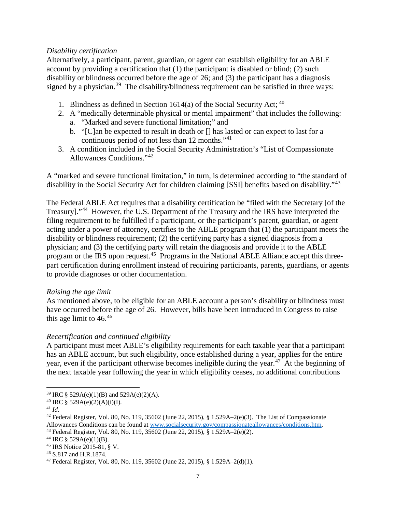## *Disability certification*

Alternatively, a participant, parent, guardian, or agent can establish eligibility for an ABLE account by providing a certification that (1) the participant is disabled or blind; (2) such disability or blindness occurred before the age of 26; and (3) the participant has a diagnosis signed by a physician.<sup>[39](#page-6-0)</sup> The disability/blindness requirement can be satisfied in three ways:

- 1. Blindness as defined in Section 1614(a) of the Social Security Act;  $40$
- 2. A "medically determinable physical or mental impairment" that includes the following:
	- a. "Marked and severe functional limitation;" and
	- b. "[C]an be expected to result in death or [] has lasted or can expect to last for a continuous period of not less than 12 months."[41](#page-6-2)
- 3. A condition included in the Social Security Administration's "List of Compassionate Allowances Conditions."[42](#page-6-3)

A "marked and severe functional limitation," in turn, is determined according to "the standard of disability in the Social Security Act for children claiming [SSI] benefits based on disability."<sup>[43](#page-6-4)</sup>

The Federal ABLE Act requires that a disability certification be "filed with the Secretary [of the Treasury]."[44](#page-6-5) However, the U.S. Department of the Treasury and the IRS have interpreted the filing requirement to be fulfilled if a participant, or the participant's parent, guardian, or agent acting under a power of attorney, certifies to the ABLE program that (1) the participant meets the disability or blindness requirement; (2) the certifying party has a signed diagnosis from a physician; and (3) the certifying party will retain the diagnosis and provide it to the ABLE program or the IRS upon request.[45](#page-6-6) Programs in the National ABLE Alliance accept this threepart certification during enrollment instead of requiring participants, parents, guardians, or agents to provide diagnoses or other documentation.

## *Raising the age limit*

As mentioned above, to be eligible for an ABLE account a person's disability or blindness must have occurred before the age of 26. However, bills have been introduced in Congress to raise this age limit to  $46^{46}$  $46^{46}$ 

## *Recertification and continued eligibility*

A participant must meet ABLE's eligibility requirements for each taxable year that a participant has an ABLE account, but such eligibility, once established during a year, applies for the entire year, even if the participant otherwise becomes ineligible during the year.<sup>47</sup> At the beginning of the next taxable year following the year in which eligibility ceases, no additional contributions

<span id="page-6-0"></span><sup>39</sup> IRC § 529A(e)(1)(B) and 529A(e)(2)(A).

<span id="page-6-1"></span><sup>40</sup> IRC § 529A(e)(2)(A)(i)(I).

<span id="page-6-2"></span><sup>41</sup> *Id*.

<span id="page-6-3"></span><sup>&</sup>lt;sup>42</sup> Federal Register, Vol. 80, No. 119, 35602 (June 22, 2015), § 1.529A–2(e)(3). The List of Compassionate

Allowances Conditions can be found at [www.socialsecurity.gov/compassionateallowances/conditions.htm.](http://www.socialsecurity.gov/compassionateallowances/conditions.htm) 43 Federal Register, Vol. 80, No. 119, 35602 (June 22, 2015), § 1.529A–2(e)(2).

<span id="page-6-5"></span><span id="page-6-4"></span><sup>&</sup>lt;sup>44</sup> IRC § 529A(e)(1)(B).

<span id="page-6-6"></span><sup>45</sup> IRS Notice 2015-81, § V.

<span id="page-6-7"></span><sup>46</sup> S.817 and H.R.1874.

<span id="page-6-8"></span><sup>47</sup> Federal Register, Vol. 80, No. 119, 35602 (June 22, 2015), § 1.529A–2(d)(1).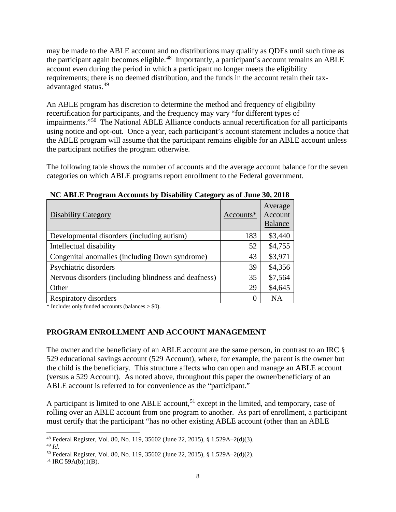may be made to the ABLE account and no distributions may qualify as QDEs until such time as the participant again becomes eligible.<sup>48</sup> Importantly, a participant's account remains an ABLE account even during the period in which a participant no longer meets the eligibility requirements; there is no deemed distribution, and the funds in the account retain their taxadvantaged status.[49](#page-7-1)

An ABLE program has discretion to determine the method and frequency of eligibility recertification for participants, and the frequency may vary "for different types of impairments."[50](#page-7-2) The National ABLE Alliance conducts annual recertification for all participants using notice and opt-out. Once a year, each participant's account statement includes a notice that the ABLE program will assume that the participant remains eligible for an ABLE account unless the participant notifies the program otherwise.

The following table shows the number of accounts and the average account balance for the seven categories on which ABLE programs report enrollment to the Federal government.

| <b>Disability Category</b>                           | Accounts* | Average<br>Account<br><b>Balance</b> |
|------------------------------------------------------|-----------|--------------------------------------|
| Developmental disorders (including autism)           | 183       | \$3,440                              |
| Intellectual disability                              | 52        | \$4,755                              |
| Congenital anomalies (including Down syndrome)       | 43        | \$3,971                              |
| Psychiatric disorders                                | 39        | \$4,356                              |
| Nervous disorders (including blindness and deafness) | 35        | \$7,564                              |
| Other                                                | 29        | \$4,645                              |
| Respiratory disorders                                | $\Omega$  | <b>NA</b>                            |

**NC ABLE Program Accounts by Disability Category as of June 30, 2018**

 $*$  Includes only funded accounts (balances  $>$  \$0).

# **PROGRAM ENROLLMENT AND ACCOUNT MANAGEMENT**

The owner and the beneficiary of an ABLE account are the same person, in contrast to an IRC § 529 educational savings account (529 Account), where, for example, the parent is the owner but the child is the beneficiary. This structure affects who can open and manage an ABLE account (versus a 529 Account). As noted above, throughout this paper the owner/beneficiary of an ABLE account is referred to for convenience as the "participant."

A participant is limited to one ABLE account,<sup>[51](#page-7-3)</sup> except in the limited, and temporary, case of rolling over an ABLE account from one program to another. As part of enrollment, a participant must certify that the participant "has no other existing ABLE account (other than an ABLE

<span id="page-7-0"></span><sup>48</sup> Federal Register, Vol. 80, No. 119, 35602 (June 22, 2015), § 1.529A–2(d)(3).

<span id="page-7-1"></span><sup>49</sup> *Id*.

<span id="page-7-2"></span><sup>50</sup> Federal Register, Vol. 80, No. 119, 35602 (June 22, 2015), § 1.529A–2(d)(2).

<span id="page-7-3"></span> $51$  IRC 59A(b)(1(B).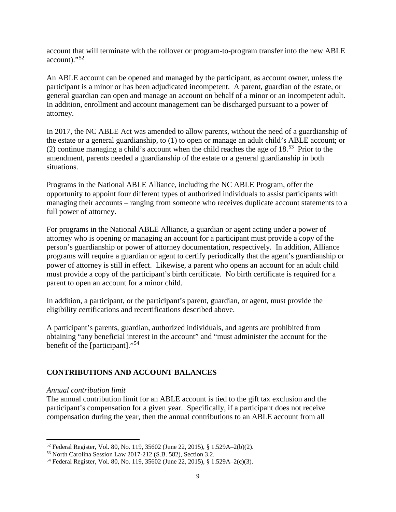account that will terminate with the rollover or program-to-program transfer into the new ABLE account)."[52](#page-8-0)

An ABLE account can be opened and managed by the participant, as account owner, unless the participant is a minor or has been adjudicated incompetent. A parent, guardian of the estate, or general guardian can open and manage an account on behalf of a minor or an incompetent adult. In addition, enrollment and account management can be discharged pursuant to a power of attorney.

In 2017, the NC ABLE Act was amended to allow parents, without the need of a guardianship of the estate or a general guardianship, to (1) to open or manage an adult child's ABLE account; or (2) continue managing a child's account when the child reaches the age of  $18<sup>53</sup>$  Prior to the amendment, parents needed a guardianship of the estate or a general guardianship in both situations.

Programs in the National ABLE Alliance, including the NC ABLE Program, offer the opportunity to appoint four different types of authorized individuals to assist participants with managing their accounts – ranging from someone who receives duplicate account statements to a full power of attorney.

For programs in the National ABLE Alliance, a guardian or agent acting under a power of attorney who is opening or managing an account for a participant must provide a copy of the person's guardianship or power of attorney documentation, respectively. In addition, Alliance programs will require a guardian or agent to certify periodically that the agent's guardianship or power of attorney is still in effect. Likewise, a parent who opens an account for an adult child must provide a copy of the participant's birth certificate. No birth certificate is required for a parent to open an account for a minor child.

In addition, a participant, or the participant's parent, guardian, or agent, must provide the eligibility certifications and recertifications described above.

A participant's parents, guardian, authorized individuals, and agents are prohibited from obtaining "any beneficial interest in the account" and "must administer the account for the benefit of the [participant]."[54](#page-8-2)

# **CONTRIBUTIONS AND ACCOUNT BALANCES**

## *Annual contribution limit*

 $\overline{\phantom{a}}$ 

The annual contribution limit for an ABLE account is tied to the gift tax exclusion and the participant's compensation for a given year. Specifically, if a participant does not receive compensation during the year, then the annual contributions to an ABLE account from all

<span id="page-8-0"></span><sup>52</sup> Federal Register, Vol. 80, No. 119, 35602 (June 22, 2015), § 1.529A–2(b)(2).

<span id="page-8-1"></span><sup>53</sup> North Carolina Session Law 2017-212 (S.B. 582), Section 3.2.

<span id="page-8-2"></span><sup>54</sup> Federal Register, Vol. 80, No. 119, 35602 (June 22, 2015), § 1.529A–2(c)(3).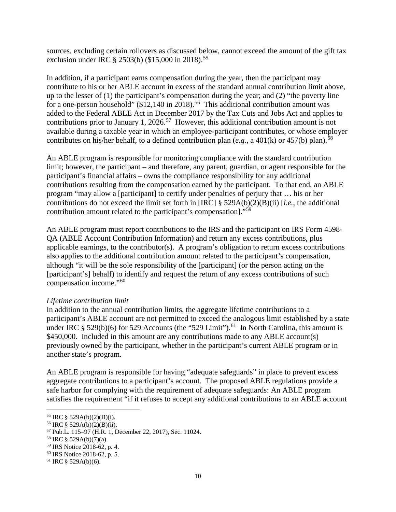sources, excluding certain rollovers as discussed below, cannot exceed the amount of the gift tax exclusion under IRC § 2503(b) (\$15,000 in 2018).<sup>[55](#page-9-0)</sup>

In addition, if a participant earns compensation during the year, then the participant may contribute to his or her ABLE account in excess of the standard annual contribution limit above, up to the lesser of (1) the participant's compensation during the year; and (2) "the poverty line for a one-person household" ( $$12,140$  in 2018).<sup>[56](#page-9-1)</sup> This additional contribution amount was added to the Federal ABLE Act in December 2017 by the Tax Cuts and Jobs Act and applies to contributions prior to January 1, 2026.<sup>57</sup> However, this additional contribution amount is not available during a taxable year in which an employee-participant contributes, or whose employer contributes on his/her behalf, to a defined contribution plan  $(e.g., a\ 401(k)$  or  $457(b)$  plan).<sup>[58](#page-9-3)</sup>

An ABLE program is responsible for monitoring compliance with the standard contribution limit; however, the participant – and therefore, any parent, guardian, or agent responsible for the participant's financial affairs – owns the compliance responsibility for any additional contributions resulting from the compensation earned by the participant. To that end, an ABLE program "may allow a [participant] to certify under penalties of perjury that … his or her contributions do not exceed the limit set forth in [IRC] § 529A(b)(2)(B)(ii) [*i.e.*, the additional contribution amount related to the participant's compensation]."[59](#page-9-4)

An ABLE program must report contributions to the IRS and the participant on IRS Form 4598- QA (ABLE Account Contribution Information) and return any excess contributions, plus applicable earnings, to the contributor(s). A program's obligation to return excess contributions also applies to the additional contribution amount related to the participant's compensation, although "it will be the sole responsibility of the [participant] (or the person acting on the [participant's] behalf) to identify and request the return of any excess contributions of such compensation income."[60](#page-9-5)

## *Lifetime contribution limit*

In addition to the annual contribution limits, the aggregate lifetime contributions to a participant's ABLE account are not permitted to exceed the analogous limit established by a state under IRC  $\S 529(b)(6)$  for 529 Accounts (the "529 Limit").<sup>[61](#page-9-6)</sup> In North Carolina, this amount is \$450,000. Included in this amount are any contributions made to any ABLE account(s) previously owned by the participant, whether in the participant's current ABLE program or in another state's program.

An ABLE program is responsible for having "adequate safeguards" in place to prevent excess aggregate contributions to a participant's account. The proposed ABLE regulations provide a safe harbor for complying with the requirement of adequate safeguards: An ABLE program satisfies the requirement "if it refuses to accept any additional contributions to an ABLE account

<span id="page-9-0"></span><sup>55</sup> IRC § 529A(b)(2)(B)(i).

<span id="page-9-1"></span><sup>56</sup> IRC § 529A(b)(2)(B)(ii).

<span id="page-9-2"></span><sup>57</sup> Pub.L. 115–97 (H.R. 1, December 22, 2017), Sec. 11024.

<span id="page-9-3"></span><sup>58</sup> IRC § 529A(b)(7)(a).

<span id="page-9-4"></span><sup>59</sup> IRS Notice 2018-62, p. 4.

<span id="page-9-5"></span><sup>60</sup> IRS Notice 2018-62, p. 5.

<span id="page-9-6"></span> $61$  IRC § 529A(b)(6).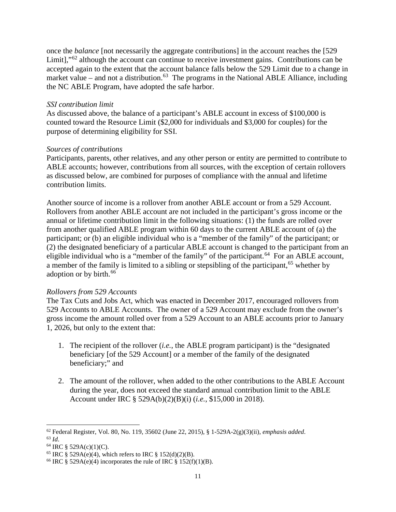once the *balance* [not necessarily the aggregate contributions] in the account reaches the [529 Limit],"<sup>[62](#page-10-0)</sup> although the account can continue to receive investment gains. Contributions can be accepted again to the extent that the account balance falls below the 529 Limit due to a change in market value – and not a distribution.<sup>[63](#page-10-1)</sup> The programs in the National ABLE Alliance, including the NC ABLE Program, have adopted the safe harbor.

#### *SSI contribution limit*

As discussed above, the balance of a participant's ABLE account in excess of \$100,000 is counted toward the Resource Limit (\$2,000 for individuals and \$3,000 for couples) for the purpose of determining eligibility for SSI.

## *Sources of contributions*

Participants, parents, other relatives, and any other person or entity are permitted to contribute to ABLE accounts; however, contributions from all sources, with the exception of certain rollovers as discussed below, are combined for purposes of compliance with the annual and lifetime contribution limits.

Another source of income is a rollover from another ABLE account or from a 529 Account. Rollovers from another ABLE account are not included in the participant's gross income or the annual or lifetime contribution limit in the following situations: (1) the funds are rolled over from another qualified ABLE program within 60 days to the current ABLE account of (a) the participant; or (b) an eligible individual who is a "member of the family" of the participant; or (2) the designated beneficiary of a particular ABLE account is changed to the participant from an eligible individual who is a "member of the family" of the participant.<sup>[64](#page-10-2)</sup> For an ABLE account, a member of the family is limited to a sibling or stepsibling of the participant,<sup>[65](#page-10-3)</sup> whether by adoption or by birth.<sup>[66](#page-10-4)</sup>

## *Rollovers from 529 Accounts*

The Tax Cuts and Jobs Act, which was enacted in December 2017, encouraged rollovers from 529 Accounts to ABLE Accounts. The owner of a 529 Account may exclude from the owner's gross income the amount rolled over from a 529 Account to an ABLE accounts prior to January 1, 2026, but only to the extent that:

- 1. The recipient of the rollover (*i.e.*, the ABLE program participant) is the "designated beneficiary [of the 529 Account] or a member of the family of the designated beneficiary;" and
- 2. The amount of the rollover, when added to the other contributions to the ABLE Account during the year, does not exceed the standard annual contribution limit to the ABLE Account under IRC § 529A(b)(2)(B)(i) (*i.e.*, \$15,000 in 2018).

<span id="page-10-1"></span><span id="page-10-0"></span><sup>62</sup> Federal Register, Vol. 80, No. 119, 35602 (June 22, 2015), § 1-529A-2(g)(3)(ii), *emphasis added*. 63 *Id*. 64 IRC § 529A(c)(1)(C).

<span id="page-10-3"></span><span id="page-10-2"></span><sup>&</sup>lt;sup>65</sup> IRC § 529A(e)(4), which refers to IRC § 152(d)(2)(B).

<span id="page-10-4"></span><sup>&</sup>lt;sup>66</sup> IRC § 529A(e)(4) incorporates the rule of IRC § 152(f)(1)(B).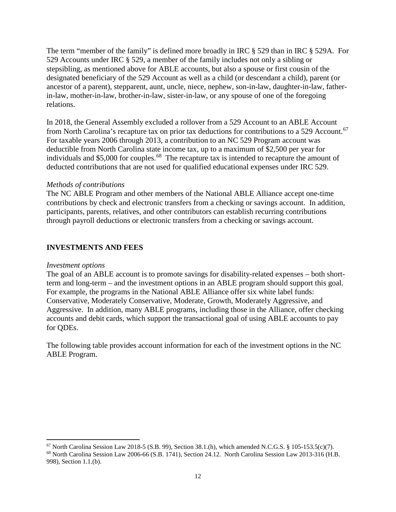The term "member of the family" is defined more broadly in IRC § 529 than in IRC § 529A. For 529 Accounts under IRC § 529, a member of the family includes not only a sibling or stepsibling, as mentioned above for ABLE accounts, but also a spouse or first cousin of the designated beneficiary of the 529 Account as well as a child (or descendant a child), parent (or ancestor of a parent), stepparent, aunt, uncle, niece, nephew, son-in-law, daughter-in-law, fatherin-law, mother-in-law, brother-in-law, sister-in-law, or any spouse of one of the foregoing relations.

In 2018, the General Assembly excluded a rollover from a 529 Account to an ABLE Account from North Carolina's recapture tax on prior tax deductions for contributions to a 529 Account.<sup>67</sup> For taxable years 2006 through 2013, a contribution to an NC 529 Program account was deductible from North Carolina state income tax, up to a maximum of \$2,500 per year for individuals and \$5,000 for couples.<sup>68</sup> The recapture tax is intended to recapture the amount of deducted contributions that are not used for qualified educational expenses under IRC 529.

## *Methods of contributions*

The NC ABLE Program and other members of the National ABLE Alliance accept one-time contributions by check and electronic transfers from a checking or savings account. In addition, participants, parents, relatives, and other contributors can establish recurring contributions through payroll deductions or electronic transfers from a checking or savings account.

# **INVESTMENTS AND FEES**

#### *Investment options*

The goal of an ABLE account is to promote savings for disability-related expenses – both shortterm and long-term – and the investment options in an ABLE program should support this goal. For example, the programs in the National ABLE Alliance offer six white label funds: Conservative, Moderately Conservative, Moderate, Growth, Moderately Aggressive, and Aggressive. In addition, many ABLE programs, including those in the Alliance, offer checking accounts and debit cards, which support the transactional goal of using ABLE accounts to pay for QDEs.

The following table provides account information for each of the investment options in the NC ABLE Program.

<span id="page-11-0"></span> $\overline{\phantom{a}}$  $67$  North Carolina Session Law 2018-5 (S.B. 99), Section 38.1.(h), which amended N.C.G.S. § 105-153.5(c)(7).

<span id="page-11-1"></span><sup>68</sup> North Carolina Session Law 2006-66 (S.B. 1741), Section 24.12. North Carolina Session Law 2013-316 (H.B. 998), Section 1.1.(b).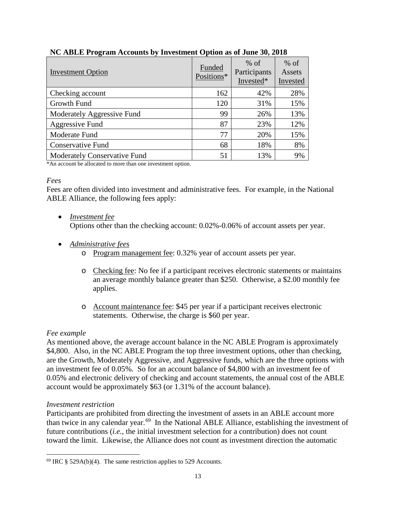| <b>Investment Option</b>     | Funded<br>Positions* | $%$ of<br>Participants<br>Invested* | $%$ of<br>Assets<br>Invested |
|------------------------------|----------------------|-------------------------------------|------------------------------|
| Checking account             | 162                  | 42%                                 | 28%                          |
| Growth Fund                  | 120                  | 31%                                 | 15%                          |
| Moderately Aggressive Fund   | 99                   | 26%                                 | 13%                          |
| Aggressive Fund              | 87                   | 23%                                 | 12%                          |
| Moderate Fund                | 77                   | 20%                                 | 15%                          |
| <b>Conservative Fund</b>     | 68                   | 18%                                 | 8%                           |
| Moderately Conservative Fund | 51                   | 13%                                 | 9%                           |

# **NC ABLE Program Accounts by Investment Option as of June 30, 2018**

\*An account be allocated to more than one investment option.

## *Fees*

Fees are often divided into investment and administrative fees. For example, in the National ABLE Alliance, the following fees apply:

- *Investment fee* Options other than the checking account: 0.02%-0.06% of account assets per year.
- *Administrative fees*
	- o Program management fee: 0.32% year of account assets per year.
	- o Checking fee: No fee if a participant receives electronic statements or maintains an average monthly balance greater than \$250. Otherwise, a \$2.00 monthly fee applies.
	- o Account maintenance fee: \$45 per year if a participant receives electronic statements. Otherwise, the charge is \$60 per year.

# *Fee example*

l

As mentioned above, the average account balance in the NC ABLE Program is approximately \$4,800. Also, in the NC ABLE Program the top three investment options, other than checking, are the Growth, Moderately Aggressive, and Aggressive funds, which are the three options with an investment fee of 0.05%. So for an account balance of \$4,800 with an investment fee of 0.05% and electronic delivery of checking and account statements, the annual cost of the ABLE account would be approximately \$63 (or 1.31% of the account balance).

## *Investment restriction*

Participants are prohibited from directing the investment of assets in an ABLE account more than twice in any calendar year.[69](#page-12-0) In the National ABLE Alliance, establishing the investment of future contributions (*i.e.*, the initial investment selection for a contribution) does not count toward the limit. Likewise, the Alliance does not count as investment direction the automatic

<span id="page-12-0"></span> $69$  IRC § 529A(b)(4). The same restriction applies to 529 Accounts.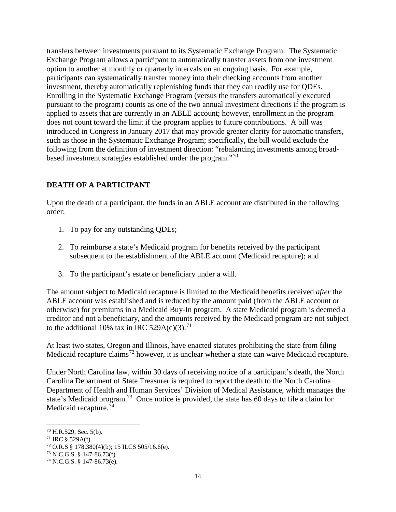transfers between investments pursuant to its Systematic Exchange Program. The Systematic Exchange Program allows a participant to automatically transfer assets from one investment option to another at monthly or quarterly intervals on an ongoing basis. For example, participants can systematically transfer money into their checking accounts from another investment, thereby automatically replenishing funds that they can readily use for QDEs. Enrolling in the Systematic Exchange Program (versus the transfers automatically executed pursuant to the program) counts as one of the two annual investment directions if the program is applied to assets that are currently in an ABLE account; however, enrollment in the program does not count toward the limit if the program applies to future contributions. A bill was introduced in Congress in January 2017 that may provide greater clarity for automatic transfers, such as those in the Systematic Exchange Program; specifically, the bill would exclude the following from the definition of investment direction: "rebalancing investments among broadbased investment strategies established under the program."[70](#page-13-0)

# **DEATH OF A PARTICIPANT**

Upon the death of a participant, the funds in an ABLE account are distributed in the following order:

- 1. To pay for any outstanding QDEs;
- 2. To reimburse a state's Medicaid program for benefits received by the participant subsequent to the establishment of the ABLE account (Medicaid recapture); and
- 3. To the participant's estate or beneficiary under a will.

The amount subject to Medicaid recapture is limited to the Medicaid benefits received *after* the ABLE account was established and is reduced by the amount paid (from the ABLE account or otherwise) for premiums in a Medicaid Buy-In program. A state Medicaid program is deemed a creditor and not a beneficiary, and the amounts received by the Medicaid program are not subject to the additional 10% tax in IRC 529A(c)(3).<sup>[71](#page-13-1)</sup>

At least two states, Oregon and Illinois, have enacted statutes prohibiting the state from filing Medicaid recapture claims<sup>[72](#page-13-2)</sup> however, it is unclear whether a state can waive Medicaid recapture.

Under North Carolina law, within 30 days of receiving notice of a participant's death, the North Carolina Department of State Treasurer is required to report the death to the North Carolina Department of Health and Human Services' Division of Medical Assistance, which manages the state's Medicaid program.<sup>[73](#page-13-3)</sup> Once notice is provided, the state has 60 days to file a claim for Medicaid recapture.<sup>[74](#page-13-4)</sup>

<span id="page-13-0"></span> $70$  H.R.529, Sec. 5(b).

<span id="page-13-1"></span> $71$  IRC § 529A(f).

<span id="page-13-2"></span> $72$  O.R.S § 178.380(4)(b); 15 ILCS 505/16.6(e).

<span id="page-13-3"></span><sup>73</sup> N.C.G.S. § 147-86.73(f).

<span id="page-13-4"></span><sup>74</sup> N.C.G.S. § 147-86.73(e).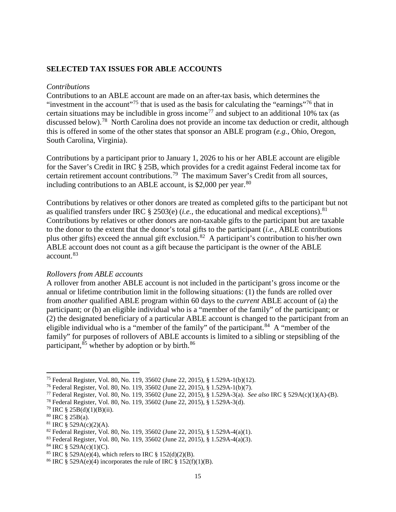#### **SELECTED TAX ISSUES FOR ABLE ACCOUNTS**

#### *Contributions*

Contributions to an ABLE account are made on an after-tax basis, which determines the "investment in the account"<sup>[75](#page-14-0)</sup> that is used as the basis for calculating the "earnings"<sup>[76](#page-14-1)</sup> that in certain situations may be includible in gross income<sup>[77](#page-14-2)</sup> and subject to an additional 10% tax (as discussed below).<sup>78</sup> North Carolina does not provide an income tax deduction or credit, although this is offered in some of the other states that sponsor an ABLE program (*e.g.*, Ohio, Oregon, South Carolina, Virginia).

Contributions by a participant prior to January 1, 2026 to his or her ABLE account are eligible for the Saver's Credit in IRC § 25B, which provides for a credit against Federal income tax for certain retirement account contributions.[79](#page-14-4) The maximum Saver's Credit from all sources, including contributions to an ABLE account, is  $$2,000$  per year.<sup>[80](#page-14-5)</sup>

Contributions by relatives or other donors are treated as completed gifts to the participant but not as qualified transfers under IRC § 2503(e) (*i.e.*, the educational and medical exceptions).<sup>81</sup> Contributions by relatives or other donors are non-taxable gifts to the participant but are taxable to the donor to the extent that the donor's total gifts to the participant (*i.e.*, ABLE contributions plus other gifts) exceed the annual gift exclusion.[82](#page-14-7) A participant's contribution to his/her own ABLE account does not count as a gift because the participant is the owner of the ABLE account.[83](#page-14-8)

#### *Rollovers from ABLE accounts*

A rollover from another ABLE account is not included in the participant's gross income or the annual or lifetime contribution limit in the following situations: (1) the funds are rolled over from *another* qualified ABLE program within 60 days to the *current* ABLE account of (a) the participant; or (b) an eligible individual who is a "member of the family" of the participant; or (2) the designated beneficiary of a particular ABLE account is changed to the participant from an eligible individual who is a "member of the family" of the participant.<sup>[84](#page-14-9)</sup> A "member of the family" for purposes of rollovers of ABLE accounts is limited to a sibling or stepsibling of the participant,  $85$  whether by adoption or by birth.  $86$ 

 $\overline{\phantom{a}}$ 

<span id="page-14-0"></span><sup>75</sup> Federal Register, Vol. 80, No. 119, 35602 (June 22, 2015), § 1.529A-1(b)(12).

<span id="page-14-1"></span><sup>76</sup> Federal Register, Vol. 80, No. 119, 35602 (June 22, 2015), § 1.529A-1(b)(7).

<span id="page-14-2"></span><sup>77</sup> Federal Register, Vol. 80, No. 119, 35602 (June 22, 2015), § 1.529A-3(a). *See also* IRC § 529A(c)(1)(A)-(B).

<span id="page-14-3"></span><sup>78</sup> Federal Register, Vol. 80, No. 119, 35602 (June 22, 2015), § 1.529A-3(d).

<span id="page-14-4"></span> $79$  IRC § 25B(d)(1)(B)(ii).

<span id="page-14-5"></span><sup>80</sup> IRC § 25B(a).

<span id="page-14-6"></span> $81$  IRC § 529A(c)(2)(A).

<span id="page-14-7"></span> $82$  Federal Register, Vol. 80, No. 119, 35602 (June 22, 2015), § 1.529A-4(a)(1).

<span id="page-14-8"></span><sup>83</sup> Federal Register, Vol. 80, No. 119, 35602 (June 22, 2015), § 1.529A-4(a)(3).

<span id="page-14-9"></span> $84$  IRC § 529A(c)(1)(C).

<span id="page-14-10"></span><sup>&</sup>lt;sup>85</sup> IRC § 529A(e)(4), which refers to IRC § 152(d)(2)(B).

<span id="page-14-11"></span><sup>&</sup>lt;sup>86</sup> IRC § 529A(e)(4) incorporates the rule of IRC § 152(f)(1)(B).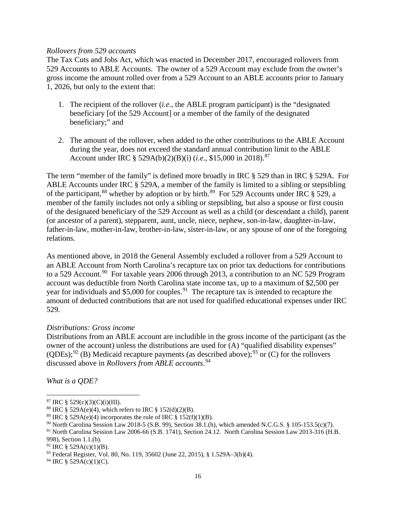#### *Rollovers from 529 accounts*

The Tax Cuts and Jobs Act, which was enacted in December 2017, encouraged rollovers from 529 Accounts to ABLE Accounts. The owner of a 529 Account may exclude from the owner's gross income the amount rolled over from a 529 Account to an ABLE accounts prior to January 1, 2026, but only to the extent that:

- 1. The recipient of the rollover (*i.e.*, the ABLE program participant) is the "designated beneficiary [of the 529 Account] or a member of the family of the designated beneficiary;" and
- 2. The amount of the rollover, when added to the other contributions to the ABLE Account during the year, does not exceed the standard annual contribution limit to the ABLE Account under IRC § 529A(b)(2)(B)(i) (*i.e.*, \$15,000 in 2018).[87](#page-15-0)

The term "member of the family" is defined more broadly in IRC § 529 than in IRC § 529A. For ABLE Accounts under IRC § 529A, a member of the family is limited to a sibling or stepsibling of the participant,<sup>[88](#page-15-1)</sup> whether by adoption or by birth.<sup>89</sup> For 529 Accounts under IRC  $\S$  529, a member of the family includes not only a sibling or stepsibling, but also a spouse or first cousin of the designated beneficiary of the 529 Account as well as a child (or descendant a child), parent (or ancestor of a parent), stepparent, aunt, uncle, niece, nephew, son-in-law, daughter-in-law, father-in-law, mother-in-law, brother-in-law, sister-in-law, or any spouse of one of the foregoing relations.

As mentioned above, in 2018 the General Assembly excluded a rollover from a 529 Account to an ABLE Account from North Carolina's recapture tax on prior tax deductions for contributions to a 529 Account.<sup>90</sup> For taxable years 2006 through 2013, a contribution to an NC 529 Program account was deductible from North Carolina state income tax, up to a maximum of \$2,500 per year for individuals and \$5,000 for couples.<sup>91</sup> The recapture tax is intended to recapture the amount of deducted contributions that are not used for qualified educational expenses under IRC 529.

## *Distributions: Gross income*

Distributions from an ABLE account are includible in the gross income of the participant (as the owner of the account) unless the distributions are used for (A) "qualified disability expenses" (QDEs);<sup>[92](#page-15-5)</sup> (B) Medicaid recapture payments (as described above);<sup>[93](#page-15-6)</sup> or (C) for the rollovers discussed above in *Rollovers from ABLE accounts*. [94](#page-15-7) 

*What is a QDE?*

 $\overline{\phantom{a}}$ 

<span id="page-15-0"></span> $87$  IRC § 529(c)(3)(C)(i)(III).

<span id="page-15-1"></span><sup>&</sup>lt;sup>88</sup> IRC § 529A(e)(4), which refers to IRC § 152(d)(2)(B).

<span id="page-15-2"></span><sup>&</sup>lt;sup>89</sup> IRC § 529A(e)(4) incorporates the rule of IRC § 152(f)(1)(B).

<span id="page-15-3"></span> $90$  North Carolina Session Law 2018-5 (S.B. 99), Section 38.1.(h), which amended N.C.G.S. § 105-153.5(c)(7).

<span id="page-15-4"></span><sup>91</sup> North Carolina Session Law 2006-66 (S.B. 1741), Section 24.12. North Carolina Session Law 2013-316 (H.B. 998), Section 1.1.(b).

<span id="page-15-5"></span> $92$  IRC § 529A(c)(1)(B).

<span id="page-15-6"></span><sup>93</sup> Federal Register, Vol. 80, No. 119, 35602 (June 22, 2015), § 1.529A–3(b)(4).

<span id="page-15-7"></span> $94$  IRC § 529A(c)(1)(C).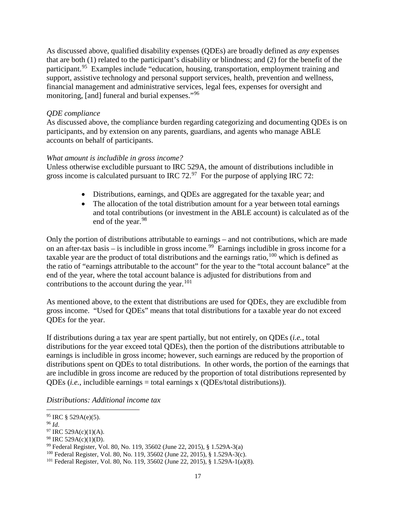As discussed above, qualified disability expenses (QDEs) are broadly defined as *any* expenses that are both (1) related to the participant's disability or blindness; and (2) for the benefit of the participant.<sup>[95](#page-16-0)</sup> Examples include "education, housing, transportation, employment training and support, assistive technology and personal support services, health, prevention and wellness, financial management and administrative services, legal fees, expenses for oversight and monitoring, [and] funeral and burial expenses."<sup>[96](#page-16-1)</sup>

## *QDE compliance*

As discussed above, the compliance burden regarding categorizing and documenting QDEs is on participants, and by extension on any parents, guardians, and agents who manage ABLE accounts on behalf of participants.

## *What amount is includible in gross income?*

Unless otherwise excludible pursuant to IRC 529A, the amount of distributions includible in gross income is calculated pursuant to IRC  $72.^{97}$  For the purpose of applying IRC 72:

- Distributions, earnings, and QDEs are aggregated for the taxable year; and
- The allocation of the total distribution amount for a year between total earnings and total contributions (or investment in the ABLE account) is calculated as of the end of the year. [98](#page-16-3)

Only the portion of distributions attributable to earnings – and not contributions, which are made on an after-tax basis – is includible in gross income.<sup>99</sup> Earnings includible in gross income for a taxable year are the product of total distributions and the earnings ratio,  $100$  which is defined as the ratio of "earnings attributable to the account" for the year to the "total account balance" at the end of the year, where the total account balance is adjusted for distributions from and contributions to the account during the year. [101](#page-16-6)

As mentioned above, to the extent that distributions are used for QDEs, they are excludible from gross income. "Used for QDEs" means that total distributions for a taxable year do not exceed QDEs for the year.

If distributions during a tax year are spent partially, but not entirely, on QDEs (*i.e.*, total distributions for the year exceed total QDEs), then the portion of the distributions attributable to earnings is includible in gross income; however, such earnings are reduced by the proportion of distributions spent on QDEs to total distributions. In other words, the portion of the earnings that are includible in gross income are reduced by the proportion of total distributions represented by QDEs (*i.e.*, includible earnings = total earnings x (QDEs/total distributions)).

*Distributions: Additional income tax*

<span id="page-16-0"></span> $95$  IRC § 529A(e)(5).

<span id="page-16-1"></span><sup>96</sup> *Id*.

<span id="page-16-2"></span> $97$  IRC 529A(c)(1)(A).

<span id="page-16-3"></span> $98$  IRC 529A(c)(1)(D).

<span id="page-16-4"></span><sup>99</sup> Federal Register, Vol. 80, No. 119, 35602 (June 22, 2015), § 1.529A-3(a)

<span id="page-16-5"></span><sup>100</sup> Federal Register, Vol. 80, No. 119, 35602 (June 22, 2015), § 1.529A-3(c).

<span id="page-16-6"></span><sup>101</sup> Federal Register, Vol. 80, No. 119, 35602 (June 22, 2015), § 1.529A-1(a)(8).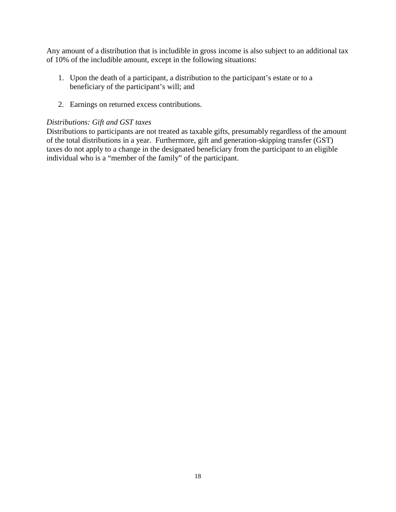Any amount of a distribution that is includible in gross income is also subject to an additional tax of 10% of the includible amount, except in the following situations:

- 1. Upon the death of a participant, a distribution to the participant's estate or to a beneficiary of the participant's will; and
- 2. Earnings on returned excess contributions.

## *Distributions: Gift and GST taxes*

Distributions to participants are not treated as taxable gifts, presumably regardless of the amount of the total distributions in a year. Furthermore, gift and generation-skipping transfer (GST) taxes do not apply to a change in the designated beneficiary from the participant to an eligible individual who is a "member of the family" of the participant.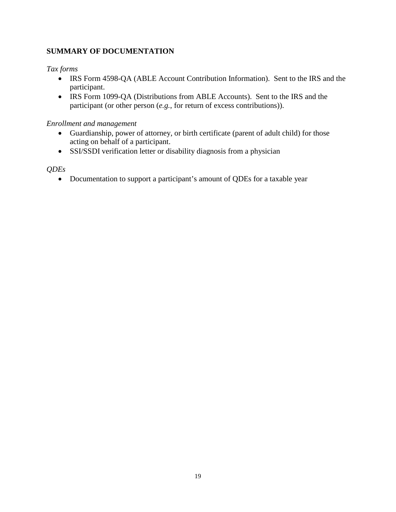# **SUMMARY OF DOCUMENTATION**

# *Tax forms*

- IRS Form 4598-QA (ABLE Account Contribution Information). Sent to the IRS and the participant.
- IRS Form 1099-QA (Distributions from ABLE Accounts). Sent to the IRS and the participant (or other person (*e.g.*, for return of excess contributions)).

# *Enrollment and management*

- Guardianship, power of attorney, or birth certificate (parent of adult child) for those acting on behalf of a participant.
- SSI/SSDI verification letter or disability diagnosis from a physician

# *QDEs*

• Documentation to support a participant's amount of QDEs for a taxable year